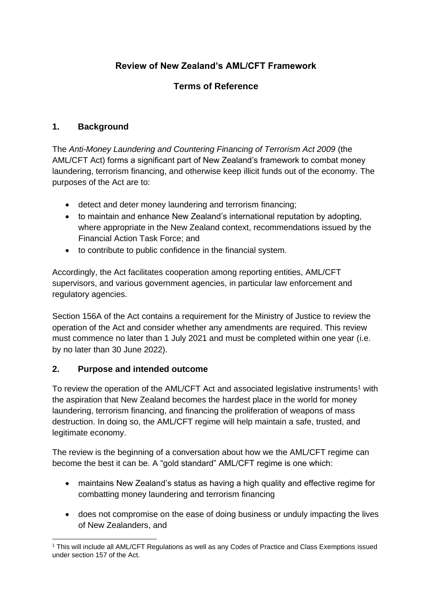# **Review of New Zealand's AML/CFT Framework**

## **Terms of Reference**

#### **1. Background**

The *Anti-Money Laundering and Countering Financing of Terrorism Act 2009* (the AML/CFT Act) forms a significant part of New Zealand's framework to combat money laundering, terrorism financing, and otherwise keep illicit funds out of the economy. The purposes of the Act are to:

- detect and deter money laundering and terrorism financing;
- to maintain and enhance New Zealand's international reputation by adopting, where appropriate in the New Zealand context, recommendations issued by the Financial Action Task Force; and
- to contribute to public confidence in the financial system.

Accordingly, the Act facilitates cooperation among reporting entities, AML/CFT supervisors, and various government agencies, in particular law enforcement and regulatory agencies.

Section 156A of the Act contains a requirement for the Ministry of Justice to review the operation of the Act and consider whether any amendments are required. This review must commence no later than 1 July 2021 and must be completed within one year (i.e. by no later than 30 June 2022).

#### **2. Purpose and intended outcome**

To review the operation of the AML/CFT Act and associated legislative instruments<sup>1</sup> with the aspiration that New Zealand becomes the hardest place in the world for money laundering, terrorism financing, and financing the proliferation of weapons of mass destruction. In doing so, the AML/CFT regime will help maintain a safe, trusted, and legitimate economy.

The review is the beginning of a conversation about how we the AML/CFT regime can become the best it can be. A "gold standard" AML/CFT regime is one which:

- maintains New Zealand's status as having a high quality and effective regime for combatting money laundering and terrorism financing
- does not compromise on the ease of doing business or unduly impacting the lives of New Zealanders, and

<sup>1</sup> This will include all AML/CFT Regulations as well as any Codes of Practice and Class Exemptions issued under section 157 of the Act.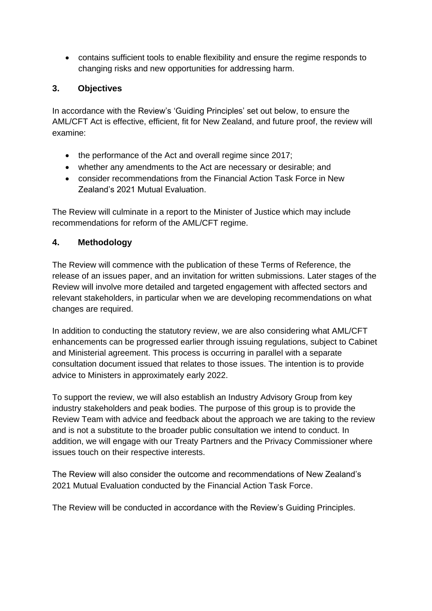• contains sufficient tools to enable flexibility and ensure the regime responds to changing risks and new opportunities for addressing harm.

### **3. Objectives**

In accordance with the Review's 'Guiding Principles' set out below, to ensure the AML/CFT Act is effective, efficient, fit for New Zealand, and future proof, the review will examine:

- the performance of the Act and overall regime since 2017;
- whether any amendments to the Act are necessary or desirable; and
- consider recommendations from the Financial Action Task Force in New Zealand's 2021 Mutual Evaluation.

The Review will culminate in a report to the Minister of Justice which may include recommendations for reform of the AML/CFT regime.

### **4. Methodology**

The Review will commence with the publication of these Terms of Reference, the release of an issues paper, and an invitation for written submissions. Later stages of the Review will involve more detailed and targeted engagement with affected sectors and relevant stakeholders, in particular when we are developing recommendations on what changes are required.

In addition to conducting the statutory review, we are also considering what AML/CFT enhancements can be progressed earlier through issuing regulations, subject to Cabinet and Ministerial agreement. This process is occurring in parallel with a separate consultation document issued that relates to those issues. The intention is to provide advice to Ministers in approximately early 2022.

To support the review, we will also establish an Industry Advisory Group from key industry stakeholders and peak bodies. The purpose of this group is to provide the Review Team with advice and feedback about the approach we are taking to the review and is not a substitute to the broader public consultation we intend to conduct. In addition, we will engage with our Treaty Partners and the Privacy Commissioner where issues touch on their respective interests.

The Review will also consider the outcome and recommendations of New Zealand's 2021 Mutual Evaluation conducted by the Financial Action Task Force.

The Review will be conducted in accordance with the Review's Guiding Principles.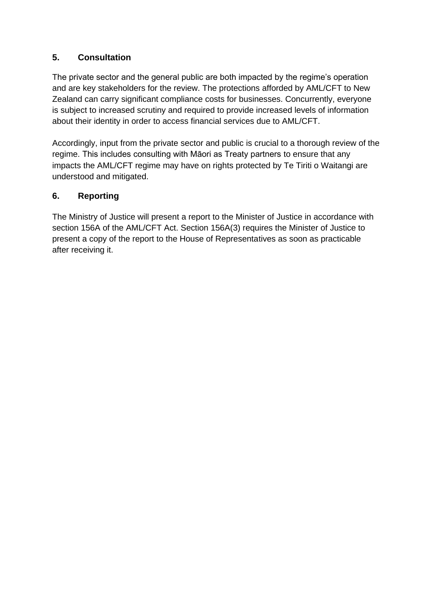### **5. Consultation**

The private sector and the general public are both impacted by the regime's operation and are key stakeholders for the review. The protections afforded by AML/CFT to New Zealand can carry significant compliance costs for businesses. Concurrently, everyone is subject to increased scrutiny and required to provide increased levels of information about their identity in order to access financial services due to AML/CFT.

Accordingly, input from the private sector and public is crucial to a thorough review of the regime. This includes consulting with Māori as Treaty partners to ensure that any impacts the AML/CFT regime may have on rights protected by Te Tiriti o Waitangi are understood and mitigated.

### **6. Reporting**

The Ministry of Justice will present a report to the Minister of Justice in accordance with section 156A of the AML/CFT Act. Section 156A(3) requires the Minister of Justice to present a copy of the report to the House of Representatives as soon as practicable after receiving it.